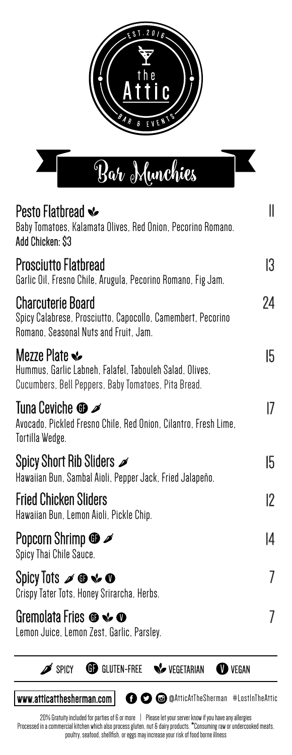



| Pesto Flatbread $\cdot\!\!\!\cdot\!\!\!\cdot$<br>Baby Tomatoes, Kalamata Olives, Red Onion, Pecorino Romano.<br>Add Chicken: \$3                                                                                             | II          |
|------------------------------------------------------------------------------------------------------------------------------------------------------------------------------------------------------------------------------|-------------|
| Prosciutto Flatbread<br>Garlic Oil, Fresno Chile, Arugula, Pecorino Romano, Fig Jam.                                                                                                                                         | 13          |
| <b>Charcuterie Board</b><br>Spicy Calabrese, Prosciutto, Capocollo, Camembert, Pecorino<br>Romano, Seasonal Nuts and Fruit, Jam.                                                                                             | 24          |
| Mezze Plate $\mathbf{\mathbf{\mathscr{C}}}% _{\mathbf{\mathscr{C}}}\left( \mathbf{\mathscr{C}}_{k}\right)$<br>Hummus, Garlic Labneh, Falafel, Tabouleh Salad, Olives,<br>Cucumbers, Bell Peppers, Baby Tomatoes, Pita Bread. | 15          |
| Tuna Ceviche $\bm{\oplus} \blacktriangleright$<br>Avocado, Pickled Fresno Chile, Red Onion, Cilantro, Fresh Lime,<br>Tortilla Wedge.                                                                                         | 17          |
| Spicy Short Rib Sliders $\mathscr{I}$<br>Hawaiian Bun, Sambal Aioli, Pepper Jack, Fried Jalapeño.                                                                                                                            | 15          |
| Fried Chicken Sliders<br>Hawaiian Bun, Lemon Aioli, Pickle Chip.                                                                                                                                                             | $ 2\rangle$ |
| Popcorn Shrimp $\boldsymbol{\circledast} \mathscr{D}$<br>Spicy Thai Chile Sauce.                                                                                                                                             | 14          |
| Spicy Tots $\mathscr{I} \oplus \mathscr{C} \mathscr{O}$<br>Crispy Tater Tots, Honey Srirarcha, Herbs.                                                                                                                        | 7           |
| Gremolata Fries $\boldsymbol{\circledcirc}\boldsymbol{\mathrel{\leqslant}}\boldsymbol{\circlearrowleft}$<br>Lemon Juice, Lemon Zest, Garlic, Parsley.                                                                        | 7           |



www.atticatthesherman.com **@ @**@AtticAtTheSherman #LostInTheAttic

20% Gratuity included for parties of 6 or more | Please let your server know if you have any allergies Processed in a commercial kitchen which also process gluten, nut & dairy products. \*Consuming raw or undercooked meats, poultry, seafood, shellfish, or eggs may increase your risk of food borne illness